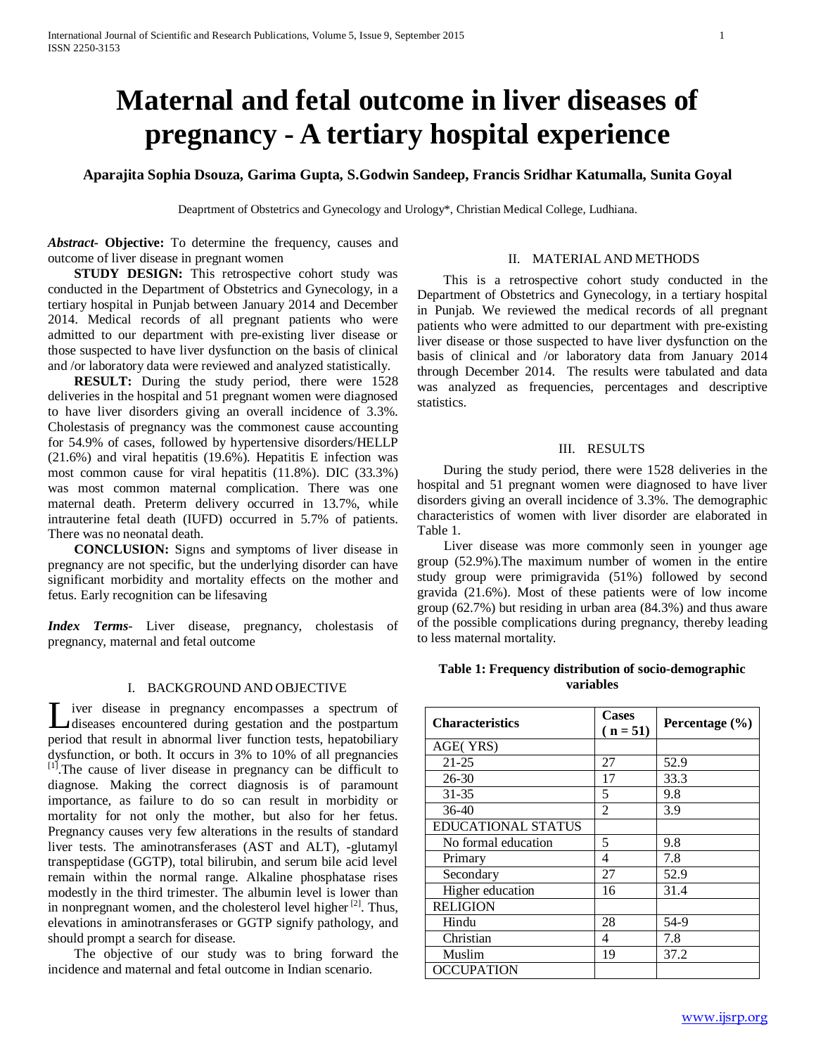# **Maternal and fetal outcome in liver diseases of pregnancy - A tertiary hospital experience**

**Aparajita Sophia Dsouza, Garima Gupta, S.Godwin Sandeep, Francis Sridhar Katumalla, Sunita Goyal**

Deaprtment of Obstetrics and Gynecology and Urology\*, Christian Medical College, Ludhiana.

*Abstract***- Objective:** To determine the frequency, causes and outcome of liver disease in pregnant women

## II. MATERIAL AND METHODS

**STUDY DESIGN:** This retrospective cohort study was conducted in the Department of Obstetrics and Gynecology, in a tertiary hospital in Punjab between January 2014 and December 2014. Medical records of all pregnant patients who were admitted to our department with pre-existing liver disease or those suspected to have liver dysfunction on the basis of clinical and /or laboratory data were reviewed and analyzed statistically.

 **RESULT:** During the study period, there were 1528 deliveries in the hospital and 51 pregnant women were diagnosed to have liver disorders giving an overall incidence of 3.3%. Cholestasis of pregnancy was the commonest cause accounting for 54.9% of cases, followed by hypertensive disorders/HELLP (21.6%) and viral hepatitis (19.6%). Hepatitis E infection was most common cause for viral hepatitis (11.8%). DIC (33.3%) was most common maternal complication. There was one maternal death. Preterm delivery occurred in 13.7%, while intrauterine fetal death (IUFD) occurred in 5.7% of patients. There was no neonatal death.

 **CONCLUSION:** Signs and symptoms of liver disease in pregnancy are not specific, but the underlying disorder can have significant morbidity and mortality effects on the mother and fetus. Early recognition can be lifesaving

*Index Terms*- Liver disease, pregnancy, cholestasis of pregnancy, maternal and fetal outcome

# I. BACKGROUND AND OBJECTIVE

iver disease in pregnancy encompasses a spectrum of Liver disease in pregnancy encompasses a spectrum of diseases encountered during gestation and the postpartum period that result in abnormal liver function tests, hepatobiliary dysfunction, or both. It occurs in 3% to 10% of all pregnancies [1].The cause of liver disease in pregnancy can be difficult to diagnose. Making the correct diagnosis is of paramount importance, as failure to do so can result in morbidity or mortality for not only the mother, but also for her fetus. Pregnancy causes very few alterations in the results of standard liver tests. The aminotransferases (AST and ALT), -glutamyl transpeptidase (GGTP), total bilirubin, and serum bile acid level remain within the normal range. Alkaline phosphatase rises modestly in the third trimester. The albumin level is lower than in nonpregnant women, and the cholesterol level higher  $[2]$ . Thus, elevations in aminotransferases or GGTP signify pathology, and should prompt a search for disease.

 The objective of our study was to bring forward the incidence and maternal and fetal outcome in Indian scenario.

 This is a retrospective cohort study conducted in the Department of Obstetrics and Gynecology, in a tertiary hospital in Punjab. We reviewed the medical records of all pregnant patients who were admitted to our department with pre-existing liver disease or those suspected to have liver dysfunction on the basis of clinical and /or laboratory data from January 2014 through December 2014. The results were tabulated and data was analyzed as frequencies, percentages and descriptive statistics.

# III. RESULTS

 During the study period, there were 1528 deliveries in the hospital and 51 pregnant women were diagnosed to have liver disorders giving an overall incidence of 3.3%. The demographic characteristics of women with liver disorder are elaborated in Table 1.

 Liver disease was more commonly seen in younger age group (52.9%).The maximum number of women in the entire study group were primigravida (51%) followed by second gravida (21.6%). Most of these patients were of low income group (62.7%) but residing in urban area (84.3%) and thus aware of the possible complications during pregnancy, thereby leading to less maternal mortality.

# **Table 1: Frequency distribution of socio-demographic variables**

| <b>Characteristics</b>    | <b>Cases</b><br>$(n = 51)$ | Percentage $(\% )$ |
|---------------------------|----------------------------|--------------------|
| AGE(YRS)                  |                            |                    |
| $21 - 25$                 | 27                         | 52.9               |
| $26-30$                   | 17                         | 33.3               |
| $31 - 35$                 | 5                          | 9.8                |
| $36-40$                   | 2                          | 3.9                |
| <b>EDUCATIONAL STATUS</b> |                            |                    |
| No formal education       | 5                          | 9.8                |
| Primary                   | 4                          | 7.8                |
| Secondary                 | 27                         | 52.9               |
| Higher education          | 16                         | 31.4               |
| <b>RELIGION</b>           |                            |                    |
| Hindu                     | 28                         | 54-9               |
| Christian                 | 4                          | 7.8                |
| Muslim                    | 19                         | 37.2               |
| <b>OCCUPATION</b>         |                            |                    |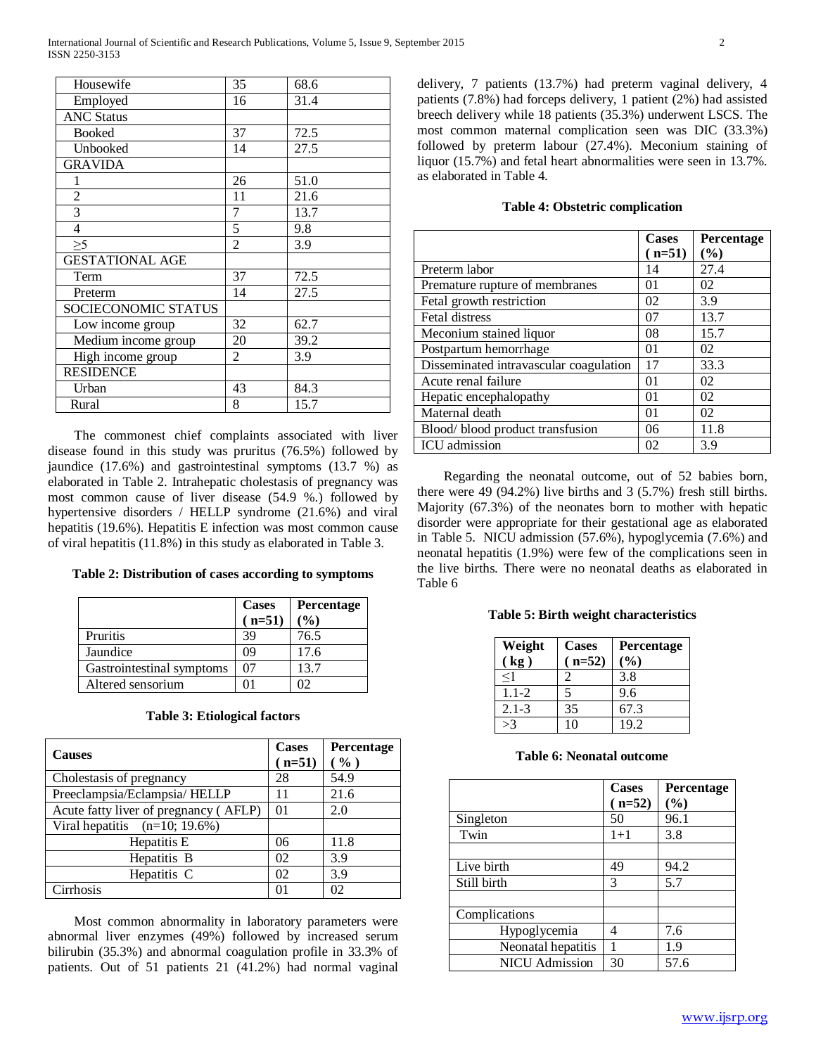| Housewife              | 35             | 68.6 |
|------------------------|----------------|------|
| Employed               | 16             | 31.4 |
| <b>ANC Status</b>      |                |      |
| <b>Booked</b>          | 37             | 72.5 |
| Unbooked               | 14             | 27.5 |
| <b>GRAVIDA</b>         |                |      |
|                        | 26             | 51.0 |
| $\overline{c}$         | 11             | 21.6 |
| 3                      | 7              | 13.7 |
| $\overline{4}$         | 5              | 9.8  |
| $\geq 5$               | $\overline{2}$ | 3.9  |
| <b>GESTATIONAL AGE</b> |                |      |
| Term                   | 37             | 72.5 |
| Preterm                | 14             | 27.5 |
| SOCIECONOMIC STATUS    |                |      |
| Low income group       | 32             | 62.7 |
| Medium income group    | 20             | 39.2 |
| High income group      | 2              | 3.9  |
| <b>RESIDENCE</b>       |                |      |
| Urban                  | 43             | 84.3 |
| Rural                  | 8              | 15.7 |

 The commonest chief complaints associated with liver disease found in this study was pruritus (76.5%) followed by jaundice (17.6%) and gastrointestinal symptoms (13.7 %) as elaborated in Table 2. Intrahepatic cholestasis of pregnancy was most common cause of liver disease (54.9 %.) followed by hypertensive disorders / HELLP syndrome (21.6%) and viral hepatitis (19.6%). Hepatitis E infection was most common cause of viral hepatitis (11.8%) in this study as elaborated in Table 3.

| Table 2: Distribution of cases according to symptoms |  |  |  |
|------------------------------------------------------|--|--|--|
|------------------------------------------------------|--|--|--|

|                           | <b>Cases</b> | Percentage |
|---------------------------|--------------|------------|
|                           | $(n=51)$     | $($ %)     |
| Pruritis                  | 39           | 76.5       |
| Jaundice                  | 09           | 17.6       |
| Gastrointestinal symptoms | 07           | 13.7       |
| Altered sensorium         |              | .YZ        |

| <b>Table 3: Etiological factors</b> |
|-------------------------------------|
|-------------------------------------|

| <b>Causes</b>                         | <b>Cases</b><br>$(n=51)$ | Percentage<br>( %) |
|---------------------------------------|--------------------------|--------------------|
| Cholestasis of pregnancy              | 28                       | 54.9               |
| Preeclampsia/Eclampsia/HELLP          | 11                       | 21.6               |
| Acute fatty liver of pregnancy (AFLP) | $\Omega$ 1               | 2.0                |
| Viral hepatitis $(n=10; 19.6%)$       |                          |                    |
| Hepatitis E                           | 06                       | 11.8               |
| Hepatitis B                           | 02                       | 3.9                |
| Hepatitis C                           | 02                       | 3.9                |
| Cirrhosis                             |                          |                    |

 Most common abnormality in laboratory parameters were abnormal liver enzymes (49%) followed by increased serum bilirubin (35.3%) and abnormal coagulation profile in 33.3% of patients. Out of 51 patients 21 (41.2%) had normal vaginal delivery, 7 patients (13.7%) had preterm vaginal delivery, 4 patients (7.8%) had forceps delivery, 1 patient (2%) had assisted breech delivery while 18 patients (35.3%) underwent LSCS. The most common maternal complication seen was DIC (33.3%) followed by preterm labour (27.4%). Meconium staining of liquor (15.7%) and fetal heart abnormalities were seen in 13.7%. as elaborated in Table 4.

#### **Table 4: Obstetric complication**

|                                        | <b>Cases</b> | Percentage |
|----------------------------------------|--------------|------------|
|                                        | $(n=51)$     | (%)        |
| Preterm labor                          | 14           | 27.4       |
| Premature rupture of membranes         | 01           | 02         |
| Fetal growth restriction               | 02           | 3.9        |
| Fetal distress                         | 07           | 13.7       |
| Meconium stained liquor                | 08           | 15.7       |
| Postpartum hemorrhage                  | 01           | 02         |
| Disseminated intravascular coagulation | 17           | 33.3       |
| Acute renal failure                    | 01           | 02         |
| Hepatic encephalopathy                 | $\Omega$     | 02         |
| Maternal death                         | 01           | 02         |
| Blood/blood product transfusion        | 06           | 11.8       |
| ICU admission                          | 02           | 3.9        |

 Regarding the neonatal outcome, out of 52 babies born, there were 49 (94.2%) live births and 3 (5.7%) fresh still births. Majority (67.3%) of the neonates born to mother with hepatic disorder were appropriate for their gestational age as elaborated in Table 5. NICU admission (57.6%), hypoglycemia (7.6%) and neonatal hepatitis (1.9%) were few of the complications seen in the live births. There were no neonatal deaths as elaborated in Table 6

## **Table 5: Birth weight characteristics**

| Weight          | <b>Cases</b> | Percentage |
|-----------------|--------------|------------|
| $kg$ )          | $n=52$       | (%)        |
| $\leq$ 1        |              | 3.8        |
| $1.1 - 2$       | 5            | 9.6        |
| $2.1 - 3$       | 35           | 67.3       |
| $\mathcal{S}^2$ | 10           | 19.2       |

## **Table 6: Neonatal outcome**

|                       | <b>Cases</b> | Percentage |
|-----------------------|--------------|------------|
|                       | $(n=52)$     | (%)        |
| Singleton             | 50           | 96.1       |
| Twin                  | $1 + 1$      | 3.8        |
|                       |              |            |
| Live birth            | 49           | 94.2       |
| Still birth           | 3            | 5.7        |
|                       |              |            |
| Complications         |              |            |
| Hypoglycemia          | 4            | 7.6        |
| Neonatal hepatitis    |              | 1.9        |
| <b>NICU</b> Admission | 30           | 57.6       |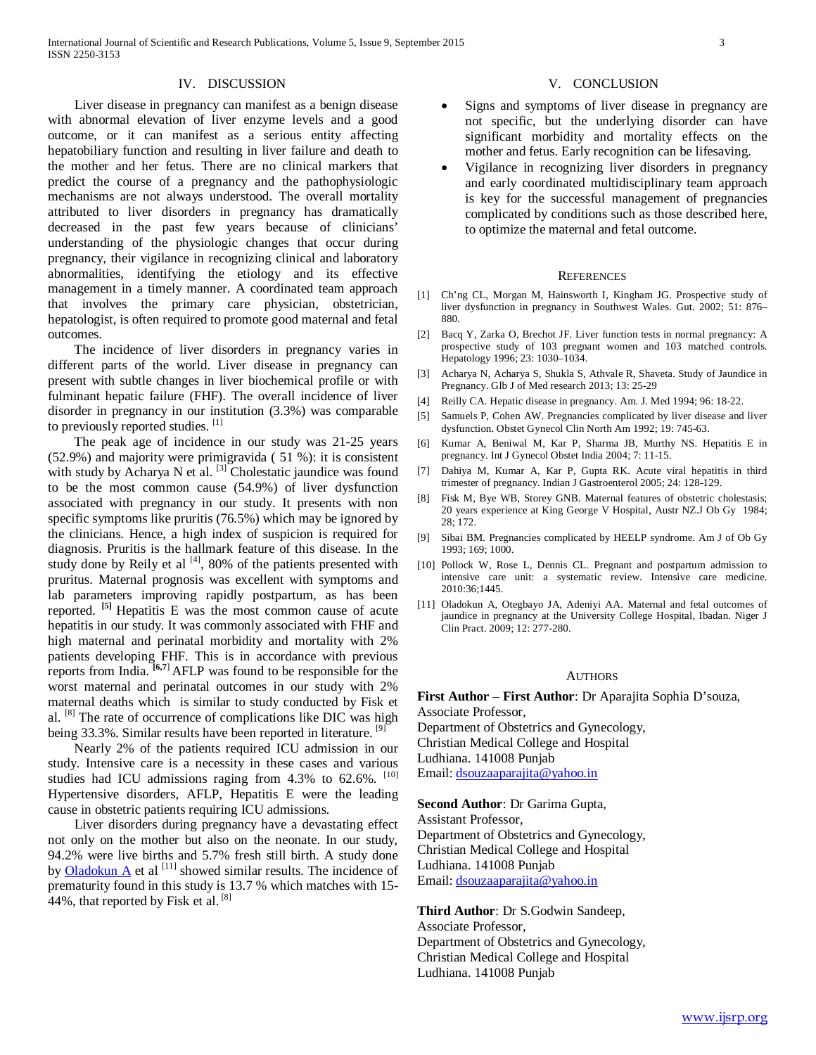#### IV. DISCUSSION

 Liver disease in pregnancy can manifest as a benign disease with abnormal elevation of liver enzyme levels and a good outcome, or it can manifest as a serious entity affecting hepatobiliary function and resulting in liver failure and death to the mother and her fetus. There are no clinical markers that predict the course of a pregnancy and the pathophysiologic mechanisms are not always understood. The overall mortality attributed to liver disorders in pregnancy has dramatically decreased in the past few years because of clinicians' understanding of the physiologic changes that occur during pregnancy, their vigilance in recognizing clinical and laboratory abnormalities, identifying the etiology and its effective management in a timely manner. A coordinated team approach that involves the primary care physician, obstetrician, hepatologist, is often required to promote good maternal and fetal outcomes.

 The incidence of liver disorders in pregnancy varies in different parts of the world. Liver disease in pregnancy can present with subtle changes in liver biochemical profile or with fulminant hepatic failure (FHF). The overall incidence of liver disorder in pregnancy in our institution (3.3%) was comparable to previously reported studies. [1]

 The peak age of incidence in our study was 21-25 years (52.9%) and majority were primigravida ( 51 %): it is consistent with study by Acharya N et al. <sup>[3]</sup> Cholestatic jaundice was found to be the most common cause (54.9%) of liver dysfunction associated with pregnancy in our study. It presents with non specific symptoms like pruritis (76.5%) which may be ignored by the clinicians. Hence, a high index of suspicion is required for diagnosis. Pruritis is the hallmark feature of this disease. In the study done by Reily et al  $[4]$ , 80% of the patients presented with pruritus. Maternal prognosis was excellent with symptoms and lab parameters improving rapidly postpartum, as has been reported. **[5]** Hepatitis E was the most common cause of acute hepatitis in our study. It was commonly associated with FHF and high maternal and perinatal morbidity and mortality with 2% patients developing FHF. This is in accordance with previous reports from India. **[6,7**] AFLP was found to be responsible for the worst maternal and perinatal outcomes in our study with 2% maternal deaths which is similar to study conducted by Fisk et al. [8] The rate of occurrence of complications like DIC was high being 33.3%. Similar results have been reported in literature. <sup>[9]</sup>

 Nearly 2% of the patients required ICU admission in our study. Intensive care is a necessity in these cases and various studies had ICU admissions raging from 4.3% to 62.6%. <sup>[10]</sup> Hypertensive disorders, AFLP, Hepatitis E were the leading cause in obstetric patients requiring ICU admissions.

 Liver disorders during pregnancy have a devastating effect not only on the mother but also on the neonate. In our study, 94.2% were live births and 5.7% fresh still birth. A study done by [Oladokun A](http://www.ncbi.nlm.nih.gov/pubmed/?term=Oladokun%20A%5BAuthor%5D&cauthor=true&cauthor_uid=19803025) et al  $^{[11]}$  showed similar results. The incidence of prematurity found in this study is 13.7 % which matches with 15- 44%, that reported by Fisk et al. [8]

#### V. CONCLUSION

- Signs and symptoms of liver disease in pregnancy are not specific, but the underlying disorder can have significant morbidity and mortality effects on the mother and fetus. Early recognition can be lifesaving.
- Vigilance in recognizing liver disorders in pregnancy and early coordinated multidisciplinary team approach is key for the successful management of pregnancies complicated by conditions such as those described here, to optimize the maternal and fetal outcome.

#### **REFERENCES**

- [1] Ch'ng CL, Morgan M, Hainsworth I, Kingham JG. Prospective study of liver dysfunction in pregnancy in Southwest Wales. Gut. 2002; 51: 876– 880.
- [2] Bacq Y, Zarka O, Brechot JF. Liver function tests in normal pregnancy: A prospective study of 103 pregnant women and 103 matched controls. Hepatology 1996; 23: 1030–1034.
- [3] Acharya N, Acharya S, Shukla S, Athvale R, Shaveta. Study of Jaundice in Pregnancy. Glb J of Med research 2013; 13: 25-29
- [4] Reilly CA. Hepatic disease in pregnancy. Am. J. Med 1994; 96: 18-22.
- [5] Samuels P, Cohen AW. Pregnancies complicated by liver disease and liver dysfunction. Obstet Gynecol Clin North Am 1992; 19: 745-63.
- [6] Kumar A, Beniwal M, Kar P, Sharma JB, Murthy NS. Hepatitis E in pregnancy. Int J Gynecol Obstet India 2004; 7: 11-15.
- [7] Dahiya M, Kumar A, Kar P, Gupta RK. Acute viral hepatitis in third trimester of pregnancy. Indian J Gastroenterol 2005; 24: 128-129.
- [8] Fisk M, Bye WB, Storey GNB. Maternal features of obstetric cholestasis; 20 years experience at King George V Hospital, Austr NZ.J Ob Gy 1984; 28; 172.
- [9] Sibai BM. Pregnancies complicated by HEELP syndrome. Am J of Ob Gy 1993; 169; 1000.
- [10] Pollock W, Rose L, Dennis CL. Pregnant and postpartum admission to intensive care unit: a systematic review. Intensive care medicine. 2010:36;1445.
- [11] Oladokun A, Otegbayo JA, Adeniyi AA. Maternal and fetal outcomes of jaundice in pregnancy at the University College Hospital, Ibadan. Niger J Clin Pract. 2009; 12: 277-280.

#### **AUTHORS**

**First Author** – **First Author**: Dr Aparajita Sophia D'souza, Associate Professor, Department of Obstetrics and Gynecology, Christian Medical College and Hospital Ludhiana. 141008 Punjab Email[: dsouzaaparajita@yahoo.in](mailto:dsouzaaparajita@yahoo.in)

**Second Author**: Dr Garima Gupta, Assistant Professor, Department of Obstetrics and Gynecology, Christian Medical College and Hospital Ludhiana. 141008 Punjab Email[: dsouzaaparajita@yahoo.in](mailto:dsouzaaparajita@yahoo.in)

**Third Author**: Dr S.Godwin Sandeep, Associate Professor, Department of Obstetrics and Gynecology, Christian Medical College and Hospital Ludhiana. 141008 Punjab